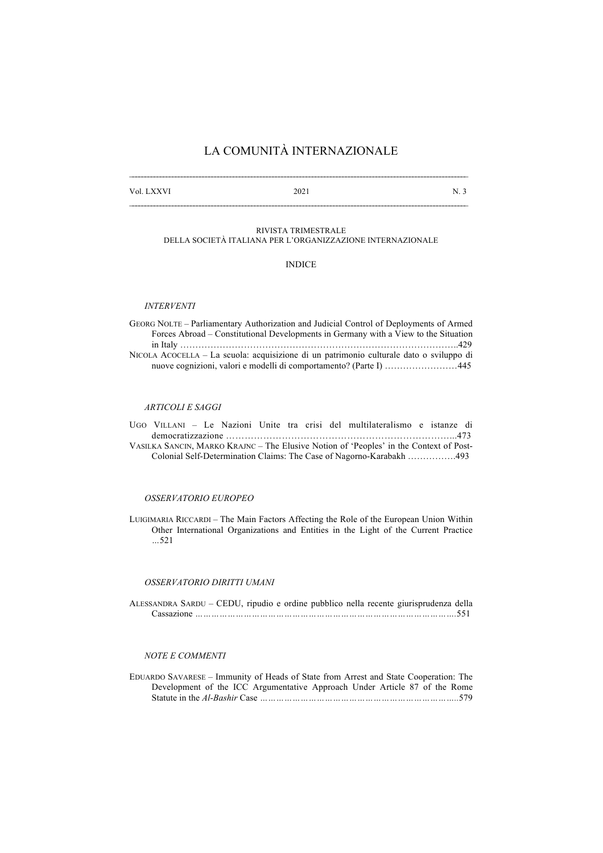# LA COMUNITÀ INTERNAZIONALE

Vol. LXXVI 2021 N. 3

#### RIVISTA TRIMESTRALE DELLA SOCIETÀ ITALIANA PER L'ORGANIZZAZIONE INTERNAZIONALE

INDICE

## *INTERVENTI*

GEORG NOLTE – Parliamentary Authorization and Judicial Control of Deployments of Armed Forces Abroad – Constitutional Developments in Germany with a View to the Situation in Italy ………………………………………………………………………………..429 NICOLA ACOCELLA – La scuola: acquisizione di un patrimonio culturale dato o sviluppo di nuove cognizioni, valori e modelli di comportamento? (Parte I) ……………………445

# *ARTICOLI E SAGGI*

|  |  |  |  | UGO VILLANI – Le Nazioni Unite tra crisi del multilateralismo e istanze di             |  |  |
|--|--|--|--|----------------------------------------------------------------------------------------|--|--|
|  |  |  |  |                                                                                        |  |  |
|  |  |  |  | VASILKA SANCIN, MARKO KRAJNC – The Elusive Notion of 'Peoples' in the Context of Post- |  |  |
|  |  |  |  |                                                                                        |  |  |

#### *OSSERVATORIO EUROPEO*

LUIGIMARIA RICCARDI – The Main Factors Affecting the Role of the European Union Within Other International Organizations and Entities in the Light of the Current Practice *…*521

## *OSSERVATORIO DIRITTI UMANI*

ALESSANDRA SARDU – CEDU, ripudio e ordine pubblico nella recente giurisprudenza della Cassazione *…………………………………………………………………………………….*551

### *NOTE E COMMENTI*

EDUARDO SAVARESE – Immunity of Heads of State from Arrest and State Cooperation: The Development of the ICC Argumentative Approach Under Article 87 of the Rome Statute in the *Al-Bashir* Case *………………………………………………………………..*579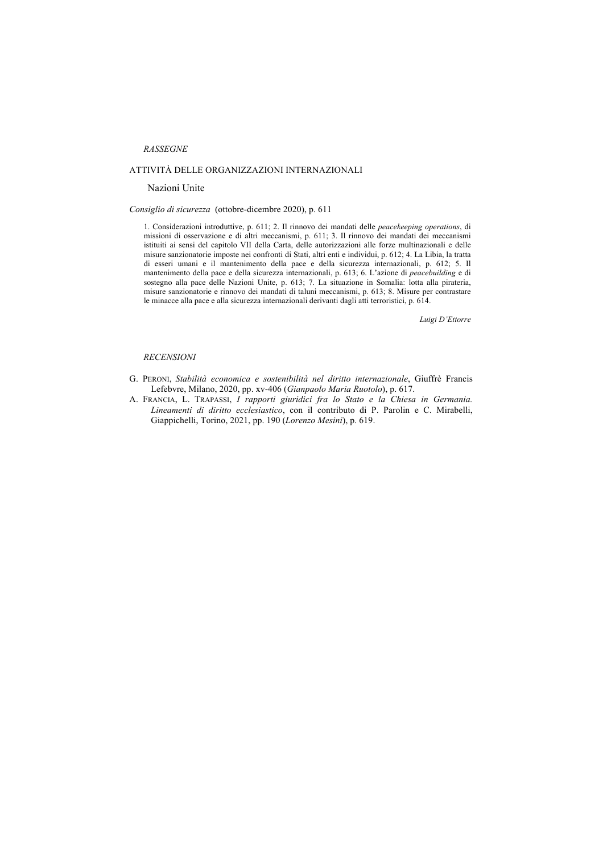## *RASSEGNE*

## ATTIVITÀ DELLE ORGANIZZAZIONI INTERNAZIONALI

#### Nazioni Unite

#### *Consiglio di sicurezza* (ottobre-dicembre 2020), p. 611

1. Considerazioni introduttive, p. 611; 2. Il rinnovo dei mandati delle *peacekeeping operations*, di missioni di osservazione e di altri meccanismi, p. 611; 3. Il rinnovo dei mandati dei meccanismi istituiti ai sensi del capitolo VII della Carta, delle autorizzazioni alle forze multinazionali e delle misure sanzionatorie imposte nei confronti di Stati, altri enti e individui, p. 612; 4. La Libia, la tratta di esseri umani e il mantenimento della pace e della sicurezza internazionali, p. 612; 5. Il mantenimento della pace e della sicurezza internazionali, p. 613; 6. L'azione di *peacebuilding* e di sostegno alla pace delle Nazioni Unite, p. 613; 7. La situazione in Somalia: lotta alla pirateria, misure sanzionatorie e rinnovo dei mandati di taluni meccanismi, p. 613; 8. Misure per contrastare le minacce alla pace e alla sicurezza internazionali derivanti dagli atti terroristici, p. 614.

*Luigi D'Ettorre*

#### *RECENSIONI*

- G. PERONI, *Stabilità economica e sostenibilità nel diritto internazionale*, Giuffrè Francis Lefebvre, Milano, 2020, pp. xv-406 (*Gianpaolo Maria Ruotolo*), p. 617.
- A. FRANCIA, L. TRAPASSI, *I rapporti giuridici fra lo Stato e la Chiesa in Germania. Lineamenti di diritto ecclesiastico*, con il contributo di P. Parolin e C. Mirabelli, Giappichelli, Torino, 2021, pp. 190 (*Lorenzo Mesini*), p. 619.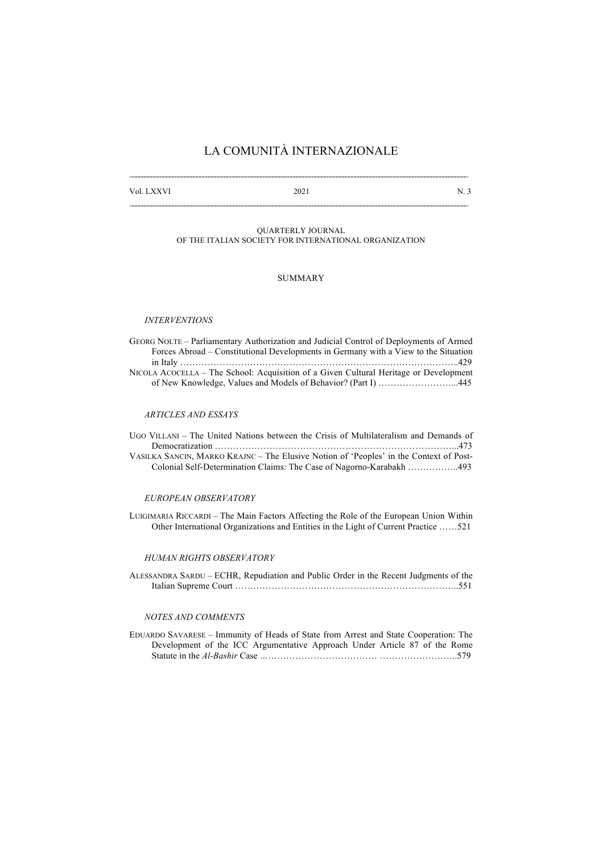# LA COMUNITÀ INTERNAZIONALE

Vol. LXXVI 2021 N. 3

## QUARTERLY JOURNAL OF THE ITALIAN SOCIETY FOR INTERNATIONAL ORGANIZATION

## SUMMARY

## *INTERVENTIONS*

| GEORG NOLTE – Parliamentary Authorization and Judicial Control of Deployments of Armed |
|----------------------------------------------------------------------------------------|
| Forces Abroad – Constitutional Developments in Germany with a View to the Situation    |
|                                                                                        |
| NICOLA ACOCELLA – The School: Acquisition of a Given Cultural Heritage or Development  |
| of New Knowledge, Values and Models of Behavior? (Part I) 445                          |

#### *ARTICLES AND ESSAYS*

| UGO VILLANI – The United Nations between the Crisis of Multilateralism and Demands of  |  |
|----------------------------------------------------------------------------------------|--|
|                                                                                        |  |
| VASILKA SANCIN, MARKO KRAJNC – The Elusive Notion of 'Peoples' in the Context of Post- |  |
| Colonial Self-Determination Claims: The Case of Nagorno-Karabakh 493                   |  |

#### *EUROPEAN OBSERVATORY*

LUIGIMARIA RICCARDI – The Main Factors Affecting the Role of the European Union Within Other International Organizations and Entities in the Light of Current Practice ……521

## *HUMAN RIGHTS OBSERVATORY*

ALESSANDRA SARDU – ECHR, Repudiation and Public Order in the Recent Judgments of the Italian Supreme Court ………………………………………………………………..551

## *NOTES AND COMMENTS*

EDUARDO SAVARESE – Immunity of Heads of State from Arrest and State Cooperation: The Development of the ICC Argumentative Approach Under Article 87 of the Rome Statute in the *Al-Bashir* Case *…*……………………………… ……………………..579